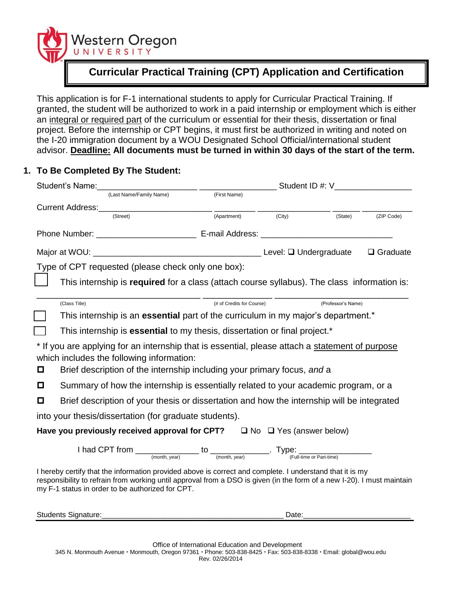

# **Curricular Practical Training (CPT) Application and Certification**

This application is for F-1 international students to apply for Curricular Practical Training. If granted, the student will be authorized to work in a paid internship or employment which is either an integral or required part of the curriculum or essential for their thesis, dissertation or final project. Before the internship or CPT begins, it must first be authorized in writing and noted on the I-20 immigration document by a WOU Designated School Official/international student advisor. **Deadline: All documents must be turned in within 30 days of the start of the term.**

## **1. To Be Completed By The Student:**

| Student's Name: (Last Name/Family Name) (First Name) |                                                                                                                                                                                                                                                                                        |                           |        |                    |            |  |
|------------------------------------------------------|----------------------------------------------------------------------------------------------------------------------------------------------------------------------------------------------------------------------------------------------------------------------------------------|---------------------------|--------|--------------------|------------|--|
|                                                      |                                                                                                                                                                                                                                                                                        |                           |        |                    |            |  |
|                                                      |                                                                                                                                                                                                                                                                                        |                           |        |                    |            |  |
|                                                      | (Street)                                                                                                                                                                                                                                                                               | (Apartment)               | (City) | (State)            | (ZIP Code) |  |
|                                                      |                                                                                                                                                                                                                                                                                        |                           |        |                    |            |  |
|                                                      |                                                                                                                                                                                                                                                                                        |                           |        | $\Box$ Graduate    |            |  |
|                                                      | Type of CPT requested (please check only one box):                                                                                                                                                                                                                                     |                           |        |                    |            |  |
|                                                      | This internship is required for a class (attach course syllabus). The class information is:                                                                                                                                                                                            |                           |        |                    |            |  |
|                                                      | (Class Title)                                                                                                                                                                                                                                                                          | (# of Credits for Course) |        | (Professor's Name) |            |  |
|                                                      | This internship is an <b>essential</b> part of the curriculum in my major's department.*                                                                                                                                                                                               |                           |        |                    |            |  |
|                                                      | This internship is <b>essential</b> to my thesis, dissertation or final project.*                                                                                                                                                                                                      |                           |        |                    |            |  |
| O                                                    | * If you are applying for an internship that is essential, please attach a statement of purpose<br>which includes the following information:<br>Brief description of the internship including your primary focus, and a                                                                |                           |        |                    |            |  |
| О                                                    | Summary of how the internship is essentially related to your academic program, or a                                                                                                                                                                                                    |                           |        |                    |            |  |
| O                                                    | Brief description of your thesis or dissertation and how the internship will be integrated                                                                                                                                                                                             |                           |        |                    |            |  |
|                                                      | into your thesis/dissertation (for graduate students).                                                                                                                                                                                                                                 |                           |        |                    |            |  |
|                                                      | Have you previously received approval for CPT? $\Box$ No $\Box$ Yes (answer below)                                                                                                                                                                                                     |                           |        |                    |            |  |
|                                                      | $1 had CPT from ________ (month, year) to ________ (Fourth, year) $                                                                                                                                                                                                                    |                           |        |                    |            |  |
|                                                      | I hereby certify that the information provided above is correct and complete. I understand that it is my<br>responsibility to refrain from working until approval from a DSO is given (in the form of a new I-20). I must maintain<br>my F-1 status in order to be authorized for CPT. |                           |        |                    |            |  |
|                                                      | <b>Students Signature:</b>                                                                                                                                                                                                                                                             |                           | Date:  |                    |            |  |